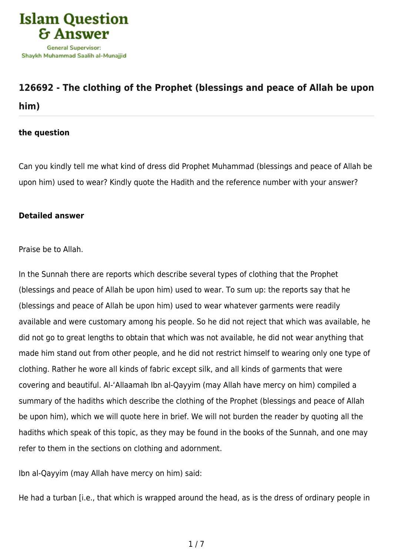

## **[126692 - The clothing of the Prophet \(blessings and peace of Allah be upon](https://islamqa.com/en/answers/126692/the-clothing-of-the-prophet-blessings-and-peace-of-allah-be-upon-him) [him\)](https://islamqa.com/en/answers/126692/the-clothing-of-the-prophet-blessings-and-peace-of-allah-be-upon-him)**

## **the question**

Can you kindly tell me what kind of dress did Prophet Muhammad (blessings and peace of Allah be upon him) used to wear? Kindly quote the Hadith and the reference number with your answer?

## **Detailed answer**

Praise be to Allah.

In the Sunnah there are reports which describe several types of clothing that the Prophet (blessings and peace of Allah be upon him) used to wear. To sum up: the reports say that he (blessings and peace of Allah be upon him) used to wear whatever garments were readily available and were customary among his people. So he did not reject that which was available, he did not go to great lengths to obtain that which was not available, he did not wear anything that made him stand out from other people, and he did not restrict himself to wearing only one type of clothing. Rather he wore all kinds of fabric except silk, and all kinds of garments that were covering and beautiful. Al-'Allaamah Ibn al-Qayyim (may Allah have mercy on him) compiled a summary of the hadiths which describe the clothing of the Prophet (blessings and peace of Allah be upon him), which we will quote here in brief. We will not burden the reader by quoting all the hadiths which speak of this topic, as they may be found in the books of the Sunnah, and one may refer to them in the sections on clothing and adornment.

Ibn al-Qayyim (may Allah have mercy on him) said:

He had a turban [i.e., that which is wrapped around the head, as is the dress of ordinary people in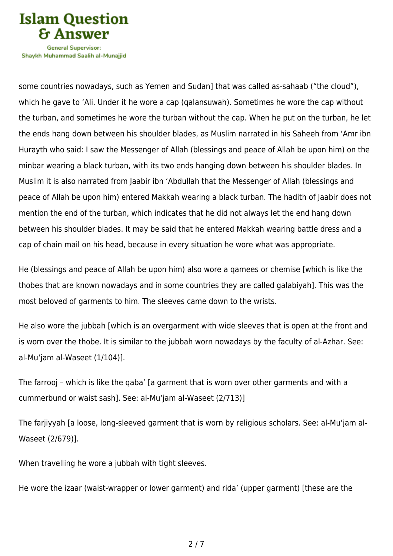

Shavkh Muhammad Saalih al-Munaiiid

some countries nowadays, such as Yemen and Sudan] that was called as-sahaab ("the cloud"), which he gave to 'Ali. Under it he wore a cap (qalansuwah). Sometimes he wore the cap without the turban, and sometimes he wore the turban without the cap. When he put on the turban, he let the ends hang down between his shoulder blades, as Muslim narrated in his Saheeh from 'Amr ibn Hurayth who said: I saw the Messenger of Allah (blessings and peace of Allah be upon him) on the minbar wearing a black turban, with its two ends hanging down between his shoulder blades. In Muslim it is also narrated from Jaabir ibn 'Abdullah that the Messenger of Allah (blessings and peace of Allah be upon him) entered Makkah wearing a black turban. The hadith of Jaabir does not mention the end of the turban, which indicates that he did not always let the end hang down between his shoulder blades. It may be said that he entered Makkah wearing battle dress and a cap of chain mail on his head, because in every situation he wore what was appropriate.

He (blessings and peace of Allah be upon him) also wore a qamees or chemise [which is like the thobes that are known nowadays and in some countries they are called galabiyah]. This was the most beloved of garments to him. The sleeves came down to the wrists.

He also wore the jubbah [which is an overgarment with wide sleeves that is open at the front and is worn over the thobe. It is similar to the jubbah worn nowadays by the faculty of al-Azhar. See: al-Mu'jam al-Waseet (1/104)].

The farrooj – which is like the qaba' [a garment that is worn over other garments and with a cummerbund or waist sash]. See: al-Mu'jam al-Waseet (2/713)]

The farjiyyah [a loose, long-sleeved garment that is worn by religious scholars. See: al-Mu'jam al-Waseet (2/679)].

When travelling he wore a jubbah with tight sleeves.

He wore the izaar (waist-wrapper or lower garment) and rida' (upper garment) [these are the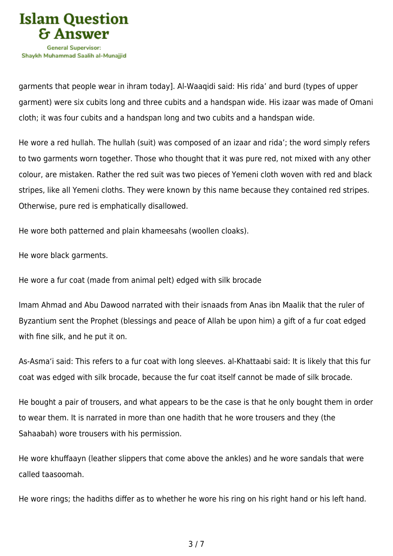

garments that people wear in ihram today]. Al-Waaqidi said: His rida' and burd (types of upper garment) were six cubits long and three cubits and a handspan wide. His izaar was made of Omani cloth; it was four cubits and a handspan long and two cubits and a handspan wide.

He wore a red hullah. The hullah (suit) was composed of an izaar and rida'; the word simply refers to two garments worn together. Those who thought that it was pure red, not mixed with any other colour, are mistaken. Rather the red suit was two pieces of Yemeni cloth woven with red and black stripes, like all Yemeni cloths. They were known by this name because they contained red stripes. Otherwise, pure red is emphatically disallowed.

He wore both patterned and plain khameesahs (woollen cloaks).

He wore black garments.

He wore a fur coat (made from animal pelt) edged with silk brocade

Imam Ahmad and Abu Dawood narrated with their isnaads from Anas ibn Maalik that the ruler of Byzantium sent the Prophet (blessings and peace of Allah be upon him) a gift of a fur coat edged with fine silk, and he put it on.

As-Asma'i said: This refers to a fur coat with long sleeves. al-Khattaabi said: It is likely that this fur coat was edged with silk brocade, because the fur coat itself cannot be made of silk brocade.

He bought a pair of trousers, and what appears to be the case is that he only bought them in order to wear them. It is narrated in more than one hadith that he wore trousers and they (the Sahaabah) wore trousers with his permission.

He wore khuffaayn (leather slippers that come above the ankles) and he wore sandals that were called taasoomah.

He wore rings; the hadiths differ as to whether he wore his ring on his right hand or his left hand.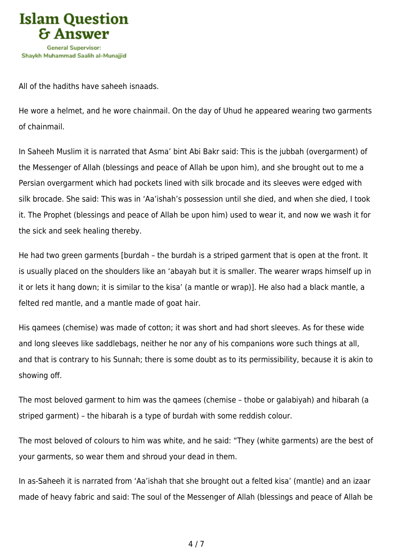

All of the hadiths have saheeh isnaads.

He wore a helmet, and he wore chainmail. On the day of Uhud he appeared wearing two garments of chainmail.

In Saheeh Muslim it is narrated that Asma' bint Abi Bakr said: This is the jubbah (overgarment) of the Messenger of Allah (blessings and peace of Allah be upon him), and she brought out to me a Persian overgarment which had pockets lined with silk brocade and its sleeves were edged with silk brocade. She said: This was in 'Aa'ishah's possession until she died, and when she died, I took it. The Prophet (blessings and peace of Allah be upon him) used to wear it, and now we wash it for the sick and seek healing thereby.

He had two green garments [burdah – the burdah is a striped garment that is open at the front. It is usually placed on the shoulders like an 'abayah but it is smaller. The wearer wraps himself up in it or lets it hang down; it is similar to the kisa' (a mantle or wrap)]. He also had a black mantle, a felted red mantle, and a mantle made of goat hair.

His qamees (chemise) was made of cotton; it was short and had short sleeves. As for these wide and long sleeves like saddlebags, neither he nor any of his companions wore such things at all, and that is contrary to his Sunnah; there is some doubt as to its permissibility, because it is akin to showing off.

The most beloved garment to him was the qamees (chemise – thobe or galabiyah) and hibarah (a striped garment) – the hibarah is a type of burdah with some reddish colour.

The most beloved of colours to him was white, and he said: "They (white garments) are the best of your garments, so wear them and shroud your dead in them.

In as-Saheeh it is narrated from 'Aa'ishah that she brought out a felted kisa' (mantle) and an izaar made of heavy fabric and said: The soul of the Messenger of Allah (blessings and peace of Allah be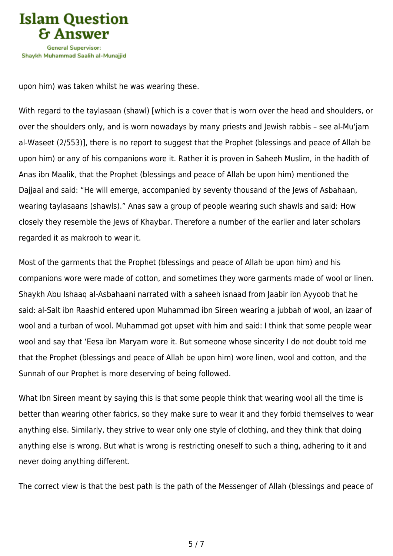

upon him) was taken whilst he was wearing these.

With regard to the taylasaan (shawl) [which is a cover that is worn over the head and shoulders, or over the shoulders only, and is worn nowadays by many priests and Jewish rabbis – see al-Mu'jam al-Waseet (2/553)], there is no report to suggest that the Prophet (blessings and peace of Allah be upon him) or any of his companions wore it. Rather it is proven in Saheeh Muslim, in the hadith of Anas ibn Maalik, that the Prophet (blessings and peace of Allah be upon him) mentioned the Dajjaal and said: "He will emerge, accompanied by seventy thousand of the Jews of Asbahaan, wearing taylasaans (shawls)." Anas saw a group of people wearing such shawls and said: How closely they resemble the Jews of Khaybar. Therefore a number of the earlier and later scholars regarded it as makrooh to wear it.

Most of the garments that the Prophet (blessings and peace of Allah be upon him) and his companions wore were made of cotton, and sometimes they wore garments made of wool or linen. Shaykh Abu Ishaaq al-Asbahaani narrated with a saheeh isnaad from Jaabir ibn Ayyoob that he said: al-Salt ibn Raashid entered upon Muhammad ibn Sireen wearing a jubbah of wool, an izaar of wool and a turban of wool. Muhammad got upset with him and said: I think that some people wear wool and say that 'Eesa ibn Maryam wore it. But someone whose sincerity I do not doubt told me that the Prophet (blessings and peace of Allah be upon him) wore linen, wool and cotton, and the Sunnah of our Prophet is more deserving of being followed.

What Ibn Sireen meant by saying this is that some people think that wearing wool all the time is better than wearing other fabrics, so they make sure to wear it and they forbid themselves to wear anything else. Similarly, they strive to wear only one style of clothing, and they think that doing anything else is wrong. But what is wrong is restricting oneself to such a thing, adhering to it and never doing anything different.

The correct view is that the best path is the path of the Messenger of Allah (blessings and peace of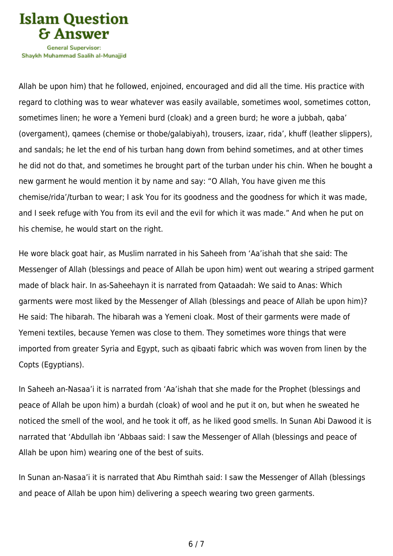

Shavkh Muhammad Saalih al-Munaiiid

Allah be upon him) that he followed, enjoined, encouraged and did all the time. His practice with regard to clothing was to wear whatever was easily available, sometimes wool, sometimes cotton, sometimes linen; he wore a Yemeni burd (cloak) and a green burd; he wore a jubbah, qaba' (overgament), qamees (chemise or thobe/galabiyah), trousers, izaar, rida', khuff (leather slippers), and sandals; he let the end of his turban hang down from behind sometimes, and at other times he did not do that, and sometimes he brought part of the turban under his chin. When he bought a new garment he would mention it by name and say: "O Allah, You have given me this chemise/rida'/turban to wear; I ask You for its goodness and the goodness for which it was made, and I seek refuge with You from its evil and the evil for which it was made." And when he put on his chemise, he would start on the right.

He wore black goat hair, as Muslim narrated in his Saheeh from 'Aa'ishah that she said: The Messenger of Allah (blessings and peace of Allah be upon him) went out wearing a striped garment made of black hair. In as-Saheehayn it is narrated from Qataadah: We said to Anas: Which garments were most liked by the Messenger of Allah (blessings and peace of Allah be upon him)? He said: The hibarah. The hibarah was a Yemeni cloak. Most of their garments were made of Yemeni textiles, because Yemen was close to them. They sometimes wore things that were imported from greater Syria and Egypt, such as qibaati fabric which was woven from linen by the Copts (Egyptians).

In Saheeh an-Nasaa'i it is narrated from 'Aa'ishah that she made for the Prophet (blessings and peace of Allah be upon him) a burdah (cloak) of wool and he put it on, but when he sweated he noticed the smell of the wool, and he took it off, as he liked good smells. In Sunan Abi Dawood it is narrated that 'Abdullah ibn 'Abbaas said: I saw the Messenger of Allah (blessings and peace of Allah be upon him) wearing one of the best of suits.

In Sunan an-Nasaa'i it is narrated that Abu Rimthah said: I saw the Messenger of Allah (blessings and peace of Allah be upon him) delivering a speech wearing two green garments.